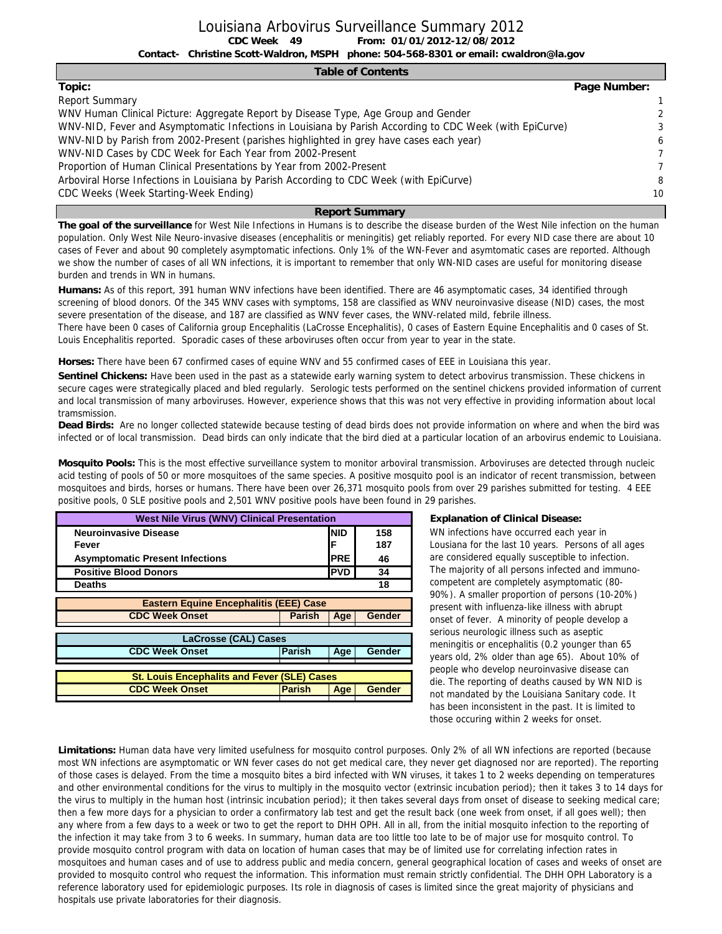#### **Table of Contents**

| Topic:                                                                                                  | Page Number:   |
|---------------------------------------------------------------------------------------------------------|----------------|
| <b>Report Summary</b>                                                                                   | 1              |
| WNV Human Clinical Picture: Aggregate Report by Disease Type, Age Group and Gender                      | $\mathcal{P}$  |
| WNV-NID, Fever and Asymptomatic Infections in Louisiana by Parish According to CDC Week (with EpiCurve) | 3              |
| WNV-NID by Parish from 2002-Present (parishes highlighted in grey have cases each year)                 | 6              |
| WNV-NID Cases by CDC Week for Each Year from 2002-Present                                               | $\overline{7}$ |
| Proportion of Human Clinical Presentations by Year from 2002-Present                                    | $\overline{7}$ |
| Arboviral Horse Infections in Louisiana by Parish According to CDC Week (with EpiCurve)                 | 8              |
| CDC Weeks (Week Starting-Week Ending)                                                                   | 10             |

#### **Report Summary**

**The goal of the surveillance** for West Nile Infections in Humans is to describe the disease burden of the West Nile infection on the human population. Only West Nile Neuro-invasive diseases (encephalitis or meningitis) get reliably reported. For every NID case there are about 10 cases of Fever and about 90 completely asymptomatic infections. Only 1% of the WN-Fever and asymtomatic cases are reported. Although we show the number of cases of all WN infections, it is important to remember that only WN-NID cases are useful for monitoring disease burden and trends in WN in humans.

**Humans:** As of this report, 391 human WNV infections have been identified. There are 46 asymptomatic cases, 34 identified through screening of blood donors. Of the 345 WNV cases with symptoms, 158 are classified as WNV neuroinvasive disease (NID) cases, the most severe presentation of the disease, and 187 are classified as WNV fever cases, the WNV-related mild, febrile illness.

There have been 0 cases of California group Encephalitis (LaCrosse Encephalitis), 0 cases of Eastern Equine Encephalitis and 0 cases of St. Louis Encephalitis reported. Sporadic cases of these arboviruses often occur from year to year in the state.

**Horses:** There have been 67 confirmed cases of equine WNV and 55 confirmed cases of EEE in Louisiana this year.

**Sentinel Chickens:** Have been used in the past as a statewide early warning system to detect arbovirus transmission. These chickens in secure cages were strategically placed and bled regularly. Serologic tests performed on the sentinel chickens provided information of current and local transmission of many arboviruses. However, experience shows that this was not very effective in providing information about local tramsmission.

**Dead Birds:** Are no longer collected statewide because testing of dead birds does not provide information on where and when the bird was infected or of local transmission. Dead birds can only indicate that the bird died at a particular location of an arbovirus endemic to Louisiana.

**Mosquito Pools:** This is the most effective surveillance system to monitor arboviral transmission. Arboviruses are detected through nucleic acid testing of pools of 50 or more mosquitoes of the same species. A positive mosquito pool is an indicator of recent transmission, between mosquitoes and birds, horses or humans. There have been over 26,371 mosquito pools from over 29 parishes submitted for testing. 4 EEE positive pools, 0 SLE positive pools and 2,501 WNV positive pools have been found in 29 parishes.

| <b>West Nile Virus (WNV) Clinical Presentation</b> |               |            |               |
|----------------------------------------------------|---------------|------------|---------------|
| <b>Neuroinvasive Disease</b>                       |               | <b>NID</b> | 158           |
| Fever                                              |               | F          | 187           |
| <b>Asymptomatic Present Infections</b>             |               | <b>PRE</b> | 46            |
| <b>Positive Blood Donors</b>                       |               | <b>PVD</b> | 34            |
| <b>Deaths</b>                                      |               |            | 18            |
|                                                    |               |            |               |
| <b>Eastern Equine Encephalitis (EEE) Case</b>      |               |            |               |
| <b>CDC Week Onset</b>                              | <b>Parish</b> | Age        | <b>Gender</b> |
|                                                    |               |            |               |
| <b>LaCrosse (CAL) Cases</b>                        |               |            |               |
| <b>CDC Week Onset</b>                              | Parish        | Age        | Gender        |
|                                                    |               |            |               |
| <b>St. Louis Encephalits and Fever (SLE) Cases</b> |               |            |               |
| <b>CDC Week Onset</b>                              | <b>Parish</b> | Age        | Gender        |
|                                                    |               |            |               |

#### **Explanation of Clinical Disease:**

WN infections have occurred each year in Lousiana for the last 10 years. Persons of all ages are considered equally susceptible to infection. The majority of all persons infected and immunocompetent are completely asymptomatic (80- 90%). A smaller proportion of persons (10-20%) present with influenza-like illness with abrupt onset of fever. A minority of people develop a serious neurologic illness such as aseptic meningitis or encephalitis (0.2 younger than 65 years old, 2% older than age 65). About 10% of people who develop neuroinvasive disease can die. The reporting of deaths caused by WN NID is not mandated by the Louisiana Sanitary code. It has been inconsistent in the past. It is limited to those occuring within 2 weeks for onset.

**Limitations:** Human data have very limited usefulness for mosquito control purposes. Only 2% of all WN infections are reported (because most WN infections are asymptomatic or WN fever cases do not get medical care, they never get diagnosed nor are reported). The reporting of those cases is delayed. From the time a mosquito bites a bird infected with WN viruses, it takes 1 to 2 weeks depending on temperatures and other environmental conditions for the virus to multiply in the mosquito vector (extrinsic incubation period); then it takes 3 to 14 days for the virus to multiply in the human host (intrinsic incubation period); it then takes several days from onset of disease to seeking medical care; then a few more days for a physician to order a confirmatory lab test and get the result back (one week from onset, if all goes well); then any where from a few days to a week or two to get the report to DHH OPH. All in all, from the initial mosquito infection to the reporting of the infection it may take from 3 to 6 weeks. In summary, human data are too little too late to be of major use for mosquito control. To provide mosquito control program with data on location of human cases that may be of limited use for correlating infection rates in mosquitoes and human cases and of use to address public and media concern, general geographical location of cases and weeks of onset are provided to mosquito control who request the information. This information must remain strictly confidential. The DHH OPH Laboratory is a reference laboratory used for epidemiologic purposes. Its role in diagnosis of cases is limited since the great majority of physicians and hospitals use private laboratories for their diagnosis.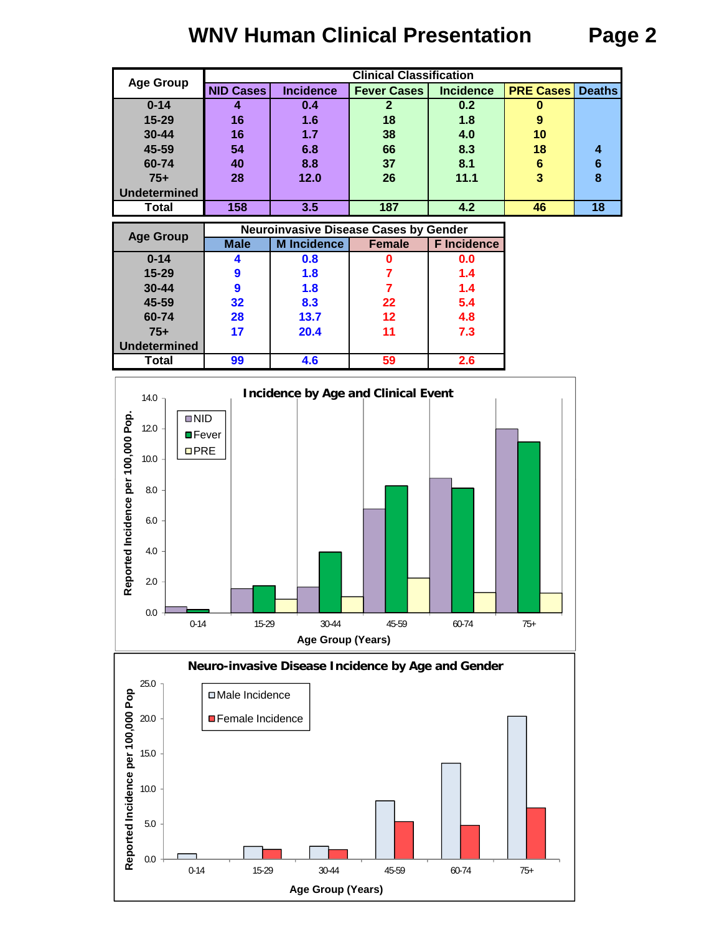# **WNV Human Clinical Presentation Page 2**

| <b>Age Group</b><br><b>Incidence</b><br><b>PRE Cases</b><br><b>NID Cases</b><br><b>Incidence</b><br><b>Deaths</b><br><b>Fever Cases</b><br>$0 - 14$<br>0.2<br>0.4<br>0<br>15-29<br>1.6<br>1.8<br>16<br>18<br>9<br>$30 - 44$<br>1.7<br>16<br>38<br>4.0<br>10<br>45-59<br>8.3<br>54<br>6.8<br>66<br>18<br>4<br>60-74<br>8.1<br>8.8<br>37<br>6<br>6<br>40<br>$75+$<br>12.0<br>3<br>8<br>26<br>28<br>11.1<br><b>Undetermined</b> |       |     |     | <b>Clinical Classification</b> |     |    |    |
|------------------------------------------------------------------------------------------------------------------------------------------------------------------------------------------------------------------------------------------------------------------------------------------------------------------------------------------------------------------------------------------------------------------------------|-------|-----|-----|--------------------------------|-----|----|----|
|                                                                                                                                                                                                                                                                                                                                                                                                                              |       |     |     |                                |     |    |    |
|                                                                                                                                                                                                                                                                                                                                                                                                                              |       |     |     |                                |     |    |    |
|                                                                                                                                                                                                                                                                                                                                                                                                                              |       |     |     |                                |     |    |    |
|                                                                                                                                                                                                                                                                                                                                                                                                                              |       |     |     |                                |     |    |    |
|                                                                                                                                                                                                                                                                                                                                                                                                                              |       |     |     |                                |     |    |    |
|                                                                                                                                                                                                                                                                                                                                                                                                                              |       |     |     |                                |     |    |    |
|                                                                                                                                                                                                                                                                                                                                                                                                                              |       |     |     |                                |     |    |    |
|                                                                                                                                                                                                                                                                                                                                                                                                                              |       |     |     |                                |     |    |    |
|                                                                                                                                                                                                                                                                                                                                                                                                                              | Total | 158 | 3.5 | 187                            | 4.2 | 46 | 18 |

| <b>Age Group</b>    |             | <b>Neuroinvasive Disease Cases by Gender</b> |               |                    |
|---------------------|-------------|----------------------------------------------|---------------|--------------------|
|                     | <b>Male</b> | <b>M</b> Incidence                           | <b>Female</b> | <b>F</b> Incidence |
| $0 - 14$            |             | 0.8                                          |               | 0.0                |
| $15 - 29$           |             | 1.8                                          |               | 1.4                |
| $30 - 44$           |             | 1.8                                          |               | 1.4                |
| 45-59               | 32          | 8.3                                          | 22            | 5.4                |
| 60-74               | 28          | 13.7                                         | 12            | 4.8                |
| $75+$               | 17          | 20.4                                         | 11            | 7.3                |
| <b>Undetermined</b> |             |                                              |               |                    |
| <b>Total</b>        | 99          | 4.6                                          | 59            | 2.6                |





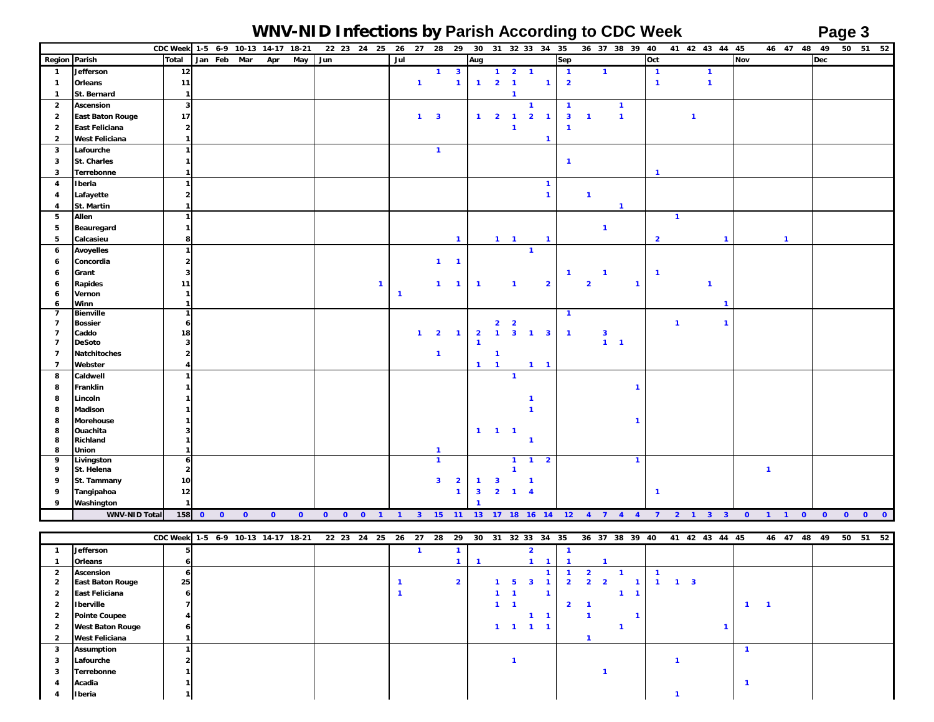### **WNV-NID Infections by Parish According to CDC Week Page 3**

|                         |                          | CDC Week 1-5 6-9 10-13 14-17 18-21  |             |           |           |           |     | 22 23 24 25 26 |                |              |                              |                         |                         |                       |                         | 27 28 29 30 31 32 33 34 35 |                         |                         |                | 36 37 38 39 40                                        |                         |                |              | 41 42 43 44 45 |            |                | 46 47 48 49                    |           |           | 50 51 52 |
|-------------------------|--------------------------|-------------------------------------|-------------|-----------|-----------|-----------|-----|----------------|----------------|--------------|------------------------------|-------------------------|-------------------------|-----------------------|-------------------------|----------------------------|-------------------------|-------------------------|----------------|-------------------------------------------------------|-------------------------|----------------|--------------|----------------|------------|----------------|--------------------------------|-----------|-----------|----------|
| Region Parish           |                          | Total                               | Jan Feb Mar |           | Apr       | May       | Jun |                | Jul            |              |                              |                         | Aug                     |                       |                         |                            |                         | Sep                     |                |                                                       | Oct                     |                |              |                | <b>Nov</b> |                |                                | Dec       |           |          |
| $\mathbf{1}$            | Jefferson                | $12\,$                              |             |           |           |           |     |                |                |              | $\mathbf{1}$                 | $\overline{\mathbf{3}}$ |                         |                       | $1 \quad 2 \quad 1$     |                            |                         | $\overline{1}$          | $\mathbf{1}$   |                                                       | $\overline{\mathbf{1}}$ |                |              | $\mathbf{1}$   |            |                |                                |           |           |          |
| $\mathbf{1}$            | Orleans                  | 11                                  |             |           |           |           |     |                |                | $\mathbf{1}$ |                              | $\mathbf{1}$            | $1 -$                   | $2 \quad 1$           |                         |                            | $\mathbf{1}$            | $\overline{\mathbf{2}}$ |                |                                                       | $\overline{1}$          |                |              | $\mathbf{1}$   |            |                |                                |           |           |          |
| $\mathbf{1}$            | St. Bernard              | $\mathbf{1}$                        |             |           |           |           |     |                |                |              |                              |                         |                         |                       | $\mathbf 1$             |                            |                         |                         |                |                                                       |                         |                |              |                |            |                |                                |           |           |          |
| $\overline{2}$          | <b>Ascension</b>         | $\overline{\mathbf{3}}$             |             |           |           |           |     |                |                |              |                              |                         |                         |                       |                         | $\mathbf{1}$               |                         | $\mathbf{1}$            |                | $\mathbf{1}$                                          |                         |                |              |                |            |                |                                |           |           |          |
| $\overline{2}$          | <b>East Baton Rouge</b>  | 17                                  |             |           |           |           |     |                |                |              | $1 \quad 3$                  |                         | $\mathbf{1}$            | $\overline{2}$        | $\blacksquare$          | $\overline{2}$             | $\overline{1}$          | $\overline{\mathbf{3}}$ | $\overline{1}$ | $\mathbf{1}$                                          |                         |                | $\mathbf{1}$ |                |            |                |                                |           |           |          |
| $\overline{2}$          | East Feliciana           | $\overline{2}$                      |             |           |           |           |     |                |                |              |                              |                         |                         |                       | $\mathbf 1$             |                            |                         | $\mathbf{1}$            |                |                                                       |                         |                |              |                |            |                |                                |           |           |          |
| $\overline{2}$          | <b>West Feliciana</b>    | -1                                  |             |           |           |           |     |                |                |              |                              |                         |                         |                       |                         |                            | $\mathbf{1}$            |                         |                |                                                       |                         |                |              |                |            |                |                                |           |           |          |
| 3                       | Lafourche                | $\overline{1}$                      |             |           |           |           |     |                |                |              | $\mathbf{1}$                 |                         |                         |                       |                         |                            |                         |                         |                |                                                       |                         |                |              |                |            |                |                                |           |           |          |
| 3                       | St. Charles              | $\mathbf{1}$                        |             |           |           |           |     |                |                |              |                              |                         |                         |                       |                         |                            |                         | $\mathbf{1}$            |                |                                                       |                         |                |              |                |            |                |                                |           |           |          |
| 3                       | Terrebonne               |                                     |             |           |           |           |     |                |                |              |                              |                         |                         |                       |                         |                            |                         |                         |                |                                                       | $\overline{1}$          |                |              |                |            |                |                                |           |           |          |
| $\overline{\mathbf{4}}$ | Iberia                   | $\overline{1}$                      |             |           |           |           |     |                |                |              |                              |                         |                         |                       |                         |                            | $\mathbf{1}$            |                         |                |                                                       |                         |                |              |                |            |                |                                |           |           |          |
| 4                       | Lafayette                | $\overline{\mathbf{2}}$             |             |           |           |           |     |                |                |              |                              |                         |                         |                       |                         |                            | $\mathbf{1}$            |                         | $\mathbf{1}$   |                                                       |                         |                |              |                |            |                |                                |           |           |          |
| 4                       | St. Martin               |                                     |             |           |           |           |     |                |                |              |                              |                         |                         |                       |                         |                            |                         |                         |                | $\mathbf{1}$                                          |                         |                |              |                |            |                |                                |           |           |          |
| 5                       | Allen                    | $\mathbf{1}$                        |             |           |           |           |     |                |                |              |                              |                         |                         |                       |                         |                            |                         |                         |                |                                                       |                         | $\overline{1}$ |              |                |            |                |                                |           |           |          |
| 5                       | Beauregard               | $\mathbf{1}$                        |             |           |           |           |     |                |                |              |                              |                         |                         |                       |                         |                            |                         |                         | $\mathbf{1}$   |                                                       |                         |                |              |                |            |                |                                |           |           |          |
| 5                       | Calcasieu                | 8                                   |             |           |           |           |     |                |                |              |                              | $\mathbf{1}$            |                         |                       | $1 \quad 1$             |                            | $\mathbf{1}$            |                         |                |                                                       | $\overline{2}$          |                |              | $\overline{1}$ |            |                | $\mathbf{1}$                   |           |           |          |
| $\boldsymbol{6}$        | <b>Avoyelles</b>         | $\overline{1}$                      |             |           |           |           |     |                |                |              |                              |                         |                         |                       |                         | $\mathbf{1}$               |                         |                         |                |                                                       |                         |                |              |                |            |                |                                |           |           |          |
| 6                       | Concordia                | $\overline{\mathbf{2}}$             |             |           |           |           |     |                |                |              | $1 \quad 1$                  |                         |                         |                       |                         |                            |                         |                         |                |                                                       |                         |                |              |                |            |                |                                |           |           |          |
| 6                       | Grant                    | 3                                   |             |           |           |           |     |                |                |              |                              |                         |                         |                       |                         |                            |                         | $\mathbf{1}$            | $\overline{1}$ |                                                       | $\mathbf{1}$            |                |              |                |            |                |                                |           |           |          |
| 6                       | <b>Rapides</b>           | 11                                  |             |           |           |           |     | $\mathbf{1}$   |                |              |                              | $1 \quad 1$             | $\overline{1}$          |                       | $\mathbf{1}$            |                            | $\overline{2}$          |                         | $\overline{2}$ | $\mathbf{1}$                                          |                         |                |              | $\mathbf{1}$   |            |                |                                |           |           |          |
| 6                       | Vernon                   | $\mathbf{1}$                        |             |           |           |           |     |                | $\overline{1}$ |              |                              |                         |                         |                       |                         |                            |                         |                         |                |                                                       |                         |                |              |                |            |                |                                |           |           |          |
| 6<br>$\overline{7}$     | Winn<br><b>Bienville</b> | $\mathbf{1}$<br>$\overline{1}$      |             |           |           |           |     |                |                |              |                              |                         |                         |                       |                         |                            |                         | $\mathbf{1}$            |                |                                                       |                         |                |              | $\overline{1}$ |            |                |                                |           |           |          |
| $\overline{7}$          | <b>Bossier</b>           | 6                                   |             |           |           |           |     |                |                |              |                              |                         |                         | $\overline{2}$        | $\overline{\mathbf{2}}$ |                            |                         |                         |                |                                                       |                         | $\overline{1}$ |              | $\mathbf{1}$   |            |                |                                |           |           |          |
| $\overline{7}$          | Caddo                    | 18                                  |             |           |           |           |     |                |                | $\mathbf{1}$ | $\overline{\mathbf{2}}$      | $\mathbf{1}$            | $\overline{\mathbf{2}}$ | $\mathbf{1}$          |                         | $3 \quad 1$                | $\mathbf{3}$            | $\overline{1}$          | $\mathbf{3}$   |                                                       |                         |                |              |                |            |                |                                |           |           |          |
| $\overline{7}$          | <b>DeSoto</b>            | 3                                   |             |           |           |           |     |                |                |              |                              |                         | $\mathbf{1}$            |                       |                         |                            |                         |                         |                | $1 - 1$                                               |                         |                |              |                |            |                |                                |           |           |          |
| $\overline{7}$          | <b>Natchitoches</b>      | $\overline{2}$                      |             |           |           |           |     |                |                |              | $\mathbf{1}$                 |                         |                         | $\mathbf{1}$          |                         |                            |                         |                         |                |                                                       |                         |                |              |                |            |                |                                |           |           |          |
| $\overline{7}$          | Webster                  | 4                                   |             |           |           |           |     |                |                |              |                              |                         | $1 \quad 1$             |                       |                         | $1 \quad 1$                |                         |                         |                |                                                       |                         |                |              |                |            |                |                                |           |           |          |
| 8                       | Caldwell                 | $\overline{1}$                      |             |           |           |           |     |                |                |              |                              |                         |                         |                       | $\mathbf{1}$            |                            |                         |                         |                |                                                       |                         |                |              |                |            |                |                                |           |           |          |
| 8                       | Franklin                 |                                     |             |           |           |           |     |                |                |              |                              |                         |                         |                       |                         |                            |                         |                         |                | $\mathbf{1}$                                          |                         |                |              |                |            |                |                                |           |           |          |
| 8                       | Lincoln                  |                                     |             |           |           |           |     |                |                |              |                              |                         |                         |                       |                         | $\mathbf{1}$               |                         |                         |                |                                                       |                         |                |              |                |            |                |                                |           |           |          |
| 8                       | Madison                  |                                     |             |           |           |           |     |                |                |              |                              |                         |                         |                       |                         |                            |                         |                         |                |                                                       |                         |                |              |                |            |                |                                |           |           |          |
| 8                       | <b>Morehouse</b>         |                                     |             |           |           |           |     |                |                |              |                              |                         |                         |                       |                         |                            |                         |                         |                |                                                       |                         |                |              |                |            |                |                                |           |           |          |
| 8                       | Ouachita                 | -3                                  |             |           |           |           |     |                |                |              |                              |                         |                         | $1 \qquad 1 \qquad 1$ |                         |                            |                         |                         |                |                                                       |                         |                |              |                |            |                |                                |           |           |          |
| 8                       | Richland                 | -1                                  |             |           |           |           |     |                |                |              |                              |                         |                         |                       |                         | $\mathbf{1}$               |                         |                         |                |                                                       |                         |                |              |                |            |                |                                |           |           |          |
| 8<br>9                  | Union<br>Livingston      | $\mathbf{1}$<br>$\ddot{\mathbf{6}}$ |             |           |           |           |     |                |                |              | $\mathbf{1}$<br>$\mathbf{1}$ |                         |                         |                       | $\mathbf{1}$            | $\blacksquare$             | $\overline{\mathbf{2}}$ |                         |                | $\mathbf{1}$                                          |                         |                |              |                |            |                |                                |           |           |          |
| 9                       | St. Helena               | $\overline{2}$                      |             |           |           |           |     |                |                |              |                              |                         |                         |                       | $\mathbf{1}$            |                            |                         |                         |                |                                                       |                         |                |              |                |            | $\overline{1}$ |                                |           |           |          |
| 9                       | St. Tammany              | 10                                  |             |           |           |           |     |                |                |              | $\overline{\mathbf{3}}$      | $\overline{\mathbf{2}}$ | $\mathbf{1}$            | $\mathbf{3}$          |                         | $\mathbf{1}$               |                         |                         |                |                                                       |                         |                |              |                |            |                |                                |           |           |          |
| 9                       | Tangipahoa               | 12                                  |             |           |           |           |     |                |                |              |                              | $\mathbf{1}$            | 3                       | 2 <sup>1</sup>        | $\mathbf{1}$            | $\overline{4}$             |                         |                         |                |                                                       | $\mathbf{1}$            |                |              |                |            |                |                                |           |           |          |
| 9                       | Washington               |                                     |             |           |           |           |     |                |                |              |                              |                         |                         |                       |                         |                            |                         |                         |                |                                                       |                         |                |              |                |            |                |                                |           |           |          |
|                         | <b>WNV-NID Total</b>     | 158                                 | $0$ 0       | $\bullet$ | $\bullet$ | $\bullet$ |     |                |                |              |                              |                         |                         |                       |                         |                            |                         |                         |                | 0 0 0 1 1 3 15 11 13 17 18 16 14 12 4 7 4 4 7 2 1 3 3 |                         |                |              |                |            |                | $0 \qquad 1 \qquad 1 \qquad 0$ | $\bullet$ | $\bullet$ | $0$ 0    |

|                |                         | CDC Week 1-5 6-9 10-13 14-17 18-21 22 23 24 25 26 27 28 29 30 31 32 33 34 35 36 37 38 39 40 41 42 43 44 45 46 47 48 49 |  |  |  |  |  |  |  |                     |  |                |                                           |  |  |             |  |  |  |  | 50 51 52 |
|----------------|-------------------------|------------------------------------------------------------------------------------------------------------------------|--|--|--|--|--|--|--|---------------------|--|----------------|-------------------------------------------|--|--|-------------|--|--|--|--|----------|
|                | Jefferson               |                                                                                                                        |  |  |  |  |  |  |  |                     |  |                |                                           |  |  |             |  |  |  |  |          |
|                | Orleans                 |                                                                                                                        |  |  |  |  |  |  |  |                     |  |                |                                           |  |  |             |  |  |  |  |          |
| $\overline{2}$ | <b>Ascension</b>        | n                                                                                                                      |  |  |  |  |  |  |  |                     |  |                |                                           |  |  |             |  |  |  |  |          |
| $\mathbf{2}$   | <b>East Baton Rouge</b> | 25                                                                                                                     |  |  |  |  |  |  |  | $1 \quad 5 \quad 3$ |  | $\overline{2}$ | $\overline{2}$<br>$\overline{\mathbf{z}}$ |  |  | $1 \quad 3$ |  |  |  |  |          |
| $\overline{2}$ | <b>East Feliciana</b>   |                                                                                                                        |  |  |  |  |  |  |  |                     |  |                |                                           |  |  |             |  |  |  |  |          |
| $\overline{2}$ | <b>Iberville</b>        |                                                                                                                        |  |  |  |  |  |  |  |                     |  | $\overline{2}$ |                                           |  |  |             |  |  |  |  |          |
| $\overline{2}$ | <b>Pointe Coupee</b>    |                                                                                                                        |  |  |  |  |  |  |  |                     |  |                |                                           |  |  |             |  |  |  |  |          |
| $\overline{2}$ | <b>West Baton Rouge</b> |                                                                                                                        |  |  |  |  |  |  |  |                     |  |                |                                           |  |  |             |  |  |  |  |          |
| $\mathbf{2}$   | West Feliciana          |                                                                                                                        |  |  |  |  |  |  |  |                     |  |                |                                           |  |  |             |  |  |  |  |          |
| 3              | <b>Assumption</b>       |                                                                                                                        |  |  |  |  |  |  |  |                     |  |                |                                           |  |  |             |  |  |  |  |          |
| 3              | Lafourche               |                                                                                                                        |  |  |  |  |  |  |  |                     |  |                |                                           |  |  |             |  |  |  |  |          |
| 3              | Terrebonne              |                                                                                                                        |  |  |  |  |  |  |  |                     |  |                |                                           |  |  |             |  |  |  |  |          |
| 4              | Acadia                  |                                                                                                                        |  |  |  |  |  |  |  |                     |  |                |                                           |  |  |             |  |  |  |  |          |
|                | <b>Iberia</b>           |                                                                                                                        |  |  |  |  |  |  |  |                     |  |                |                                           |  |  |             |  |  |  |  |          |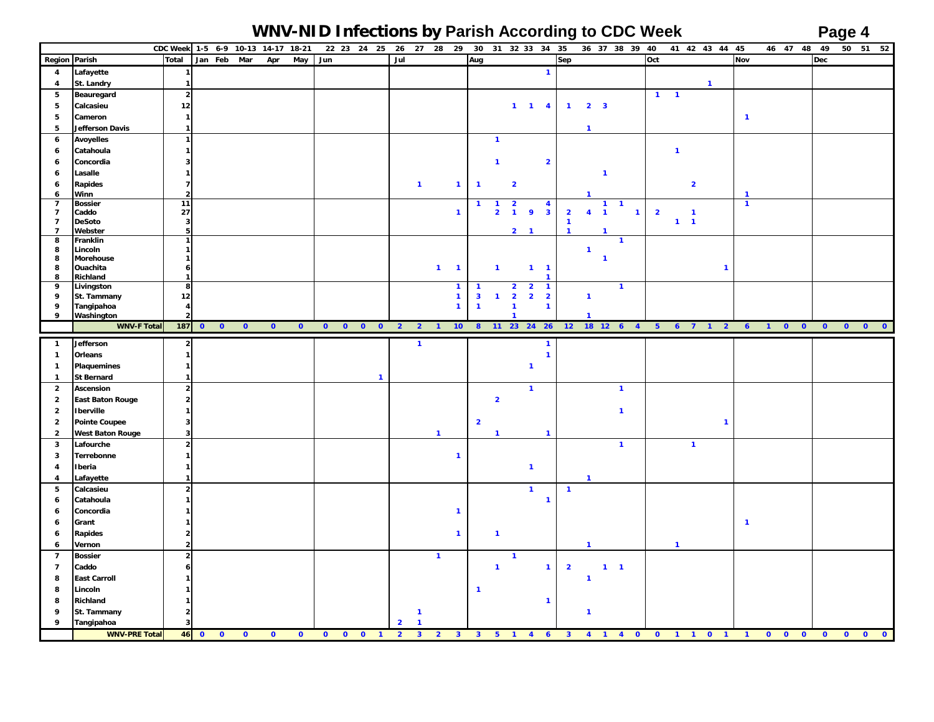### **WNV-NID Infections by Parish According to CDC Week Page 4**

|                     |                                    |                          | CDC Week 1-5 6-9 10-13 14-17 18-21 |           |           |            |     | 22 23 24 25                                            | 26             |                | 27 28 29       |                              |                         |                         | 30 31 32 33 34 35                                                    |                                         |                         |                       |                | 36 37 38 39 40   |                |              |                | 41 42 43 44 45 |                |                | 46 47 48 49         |            |           | 50 51 52                             |
|---------------------|------------------------------------|--------------------------|------------------------------------|-----------|-----------|------------|-----|--------------------------------------------------------|----------------|----------------|----------------|------------------------------|-------------------------|-------------------------|----------------------------------------------------------------------|-----------------------------------------|-------------------------|-----------------------|----------------|------------------|----------------|--------------|----------------|----------------|----------------|----------------|---------------------|------------|-----------|--------------------------------------|
| Region Parish       |                                    | Total                    | Jan Feb                            | Mar       | Apr       | <b>May</b> | Jun |                                                        | Jul            |                |                |                              | Aug                     |                         |                                                                      |                                         | Sep                     |                       |                |                  | Oct            |              |                |                | Nov            |                |                     | <b>Dec</b> |           |                                      |
| $\overline{a}$      | Lafayette                          | $\mathbf{1}$             |                                    |           |           |            |     |                                                        |                |                |                |                              |                         |                         |                                                                      | $\mathbf{1}$                            |                         |                       |                |                  |                |              |                |                |                |                |                     |            |           |                                      |
| 4                   | St. Landry                         | $\mathbf{1}$             |                                    |           |           |            |     |                                                        |                |                |                |                              |                         |                         |                                                                      |                                         |                         |                       |                |                  |                |              |                | $\mathbf{1}$   |                |                |                     |            |           |                                      |
| 5                   | Beauregard                         | $\overline{2}$           |                                    |           |           |            |     |                                                        |                |                |                |                              |                         |                         |                                                                      |                                         |                         |                       |                |                  | $1 \quad 1$    |              |                |                |                |                |                     |            |           |                                      |
| 5                   | Calcasieu                          | $12$                     |                                    |           |           |            |     |                                                        |                |                |                |                              |                         |                         | $1 \quad 1 \quad 4$                                                  |                                         |                         | $1 \qquad 2 \qquad 3$ |                |                  |                |              |                |                |                |                |                     |            |           |                                      |
| 5                   | Cameron                            | $\mathbf{1}$             |                                    |           |           |            |     |                                                        |                |                |                |                              |                         |                         |                                                                      |                                         |                         |                       |                |                  |                |              |                |                | $\mathbf{1}$   |                |                     |            |           |                                      |
| 5                   | <b>Jefferson Davis</b>             | $\mathbf{1}$             |                                    |           |           |            |     |                                                        |                |                |                |                              |                         |                         |                                                                      |                                         |                         | $\mathbf{1}$          |                |                  |                |              |                |                |                |                |                     |            |           |                                      |
| $\boldsymbol{6}$    | <b>Avoyelles</b>                   | $\overline{1}$           |                                    |           |           |            |     |                                                        |                |                |                |                              |                         | $\mathbf{1}$            |                                                                      |                                         |                         |                       |                |                  |                |              |                |                |                |                |                     |            |           |                                      |
| 6                   | Catahoula                          | $\overline{\phantom{a}}$ |                                    |           |           |            |     |                                                        |                |                |                |                              |                         |                         |                                                                      |                                         |                         |                       |                |                  |                | $\mathbf{1}$ |                |                |                |                |                     |            |           |                                      |
| 6                   | Concordia                          |                          |                                    |           |           |            |     |                                                        |                |                |                |                              |                         | $\mathbf{1}$            |                                                                      | $\overline{\mathbf{2}}$                 |                         |                       |                |                  |                |              |                |                |                |                |                     |            |           |                                      |
| 6                   | Lasalle                            | -1                       |                                    |           |           |            |     |                                                        |                |                |                |                              |                         |                         |                                                                      |                                         |                         |                       | $\mathbf{1}$   |                  |                |              |                |                |                |                |                     |            |           |                                      |
| 6                   | <b>Rapides</b>                     | $\overline{ }$           |                                    |           |           |            |     |                                                        |                | $\mathbf{1}$   |                | $\mathbf{1}$                 | $\overline{1}$          |                         | $\overline{\mathbf{2}}$                                              |                                         |                         |                       |                |                  |                |              | $\overline{2}$ |                |                |                |                     |            |           |                                      |
| 6                   | Winn                               | $\overline{\mathbf{2}}$  |                                    |           |           |            |     |                                                        |                |                |                |                              |                         |                         |                                                                      |                                         |                         |                       |                |                  |                |              |                |                | $\mathbf{1}$   |                |                     |            |           |                                      |
| $\overline{7}$      | <b>Bossier</b>                     | 11                       |                                    |           |           |            |     |                                                        |                |                |                |                              | $\mathbf{1}$            | $\mathbf{1}$            | $\overline{2}$                                                       | $\overline{\mathbf{4}}$                 |                         |                       | $\mathbf{1}$   | $\mathbf{1}$     |                |              |                |                | $\overline{1}$ |                |                     |            |           |                                      |
| $\overline{7}$      | Caddo                              | 27                       |                                    |           |           |            |     |                                                        |                |                |                | $\mathbf{1}$                 |                         | $\overline{2}$          | $\overline{9}$<br>$\blacksquare$                                     | $\overline{\mathbf{3}}$                 | $\overline{\mathbf{2}}$ | $4 \quad 1$           |                | $\mathbf{1}$     | $\overline{2}$ |              | $\mathbf{1}$   |                |                |                |                     |            |           |                                      |
| $\overline{7}$      | <b>DeSoto</b>                      | 3                        |                                    |           |           |            |     |                                                        |                |                |                |                              |                         |                         | $2 \quad 1$                                                          |                                         | $\mathbf{1}$            |                       |                |                  |                | $1 - 1$      |                |                |                |                |                     |            |           |                                      |
| $\overline{7}$<br>8 | Webster<br>Franklin                | 5<br>$\mathbf{1}$        |                                    |           |           |            |     |                                                        |                |                |                |                              |                         |                         |                                                                      |                                         | $\mathbf{1}$            |                       | $\mathbf{1}$   |                  |                |              |                |                |                |                |                     |            |           |                                      |
| 8                   | Lincoln                            | $\mathbf{1}$             |                                    |           |           |            |     |                                                        |                |                |                |                              |                         |                         |                                                                      |                                         |                         | $\mathbf{1}$          |                |                  |                |              |                |                |                |                |                     |            |           |                                      |
| 8                   | Morehouse                          | $\mathbf{1}$             |                                    |           |           |            |     |                                                        |                |                |                |                              |                         |                         |                                                                      |                                         |                         |                       | $\mathbf{1}$   |                  |                |              |                |                |                |                |                     |            |           |                                      |
| 8                   | Ouachita                           | 6                        |                                    |           |           |            |     |                                                        |                |                | $1 - 1$        |                              |                         | $\mathbf{1}$            |                                                                      | $1 \quad 1$                             |                         |                       |                |                  |                |              |                | $\mathbf{1}$   |                |                |                     |            |           |                                      |
| 8                   | Richland                           | $\overline{1}$           |                                    |           |           |            |     |                                                        |                |                |                |                              | $\mathbf{1}$            |                         |                                                                      |                                         |                         |                       |                |                  |                |              |                |                |                |                |                     |            |           |                                      |
| 9<br>9              | Livingston<br>St. Tammany          | 8<br>12                  |                                    |           |           |            |     |                                                        |                |                |                | $\mathbf{1}$<br>$\mathbf{1}$ | $\overline{\mathbf{3}}$ | $\mathbf{1}$            | $\overline{2}$<br>$\overline{2}$<br>$\overline{2}$<br>$\overline{2}$ | $\mathbf{1}$<br>$\overline{\mathbf{2}}$ |                         | $\mathbf{1}$          |                | $\mathbf{1}$     |                |              |                |                |                |                |                     |            |           |                                      |
| 9                   | Tangipahoa                         | $\overline{4}$           |                                    |           |           |            |     |                                                        |                |                |                | $\mathbf{1}$                 | $\mathbf{1}$            |                         | $\mathbf{1}$                                                         | $\mathbf{1}$                            |                         |                       |                |                  |                |              |                |                |                |                |                     |            |           |                                      |
| 9                   | Washington                         |                          |                                    |           |           |            |     |                                                        |                |                |                |                              |                         |                         | $\mathbf{1}$                                                         |                                         |                         | $\mathbf{1}$          |                |                  |                |              |                |                |                |                |                     |            |           |                                      |
|                     | <b>WNV-F Total</b>                 | 187                      | $\bullet$<br>$\bullet$             | $\bullet$ | $\bullet$ | $\bullet$  |     | $\begin{array}{ccccccccc}\n0 & 0 & 0 & 0\n\end{array}$ | $2 \quad 2$    |                | $\overline{1}$ | 10 <sub>1</sub>              |                         |                         | 8 11 23 24 26                                                        |                                         |                         |                       |                | 12  18  12  6  4 |                |              |                | 5 6 7 1 2      | $\overline{6}$ | $\blacksquare$ | $\bullet$ $\bullet$ | $\bullet$  | $\bullet$ | $\bullet$<br>$\overline{\mathbf{0}}$ |
| $\mathbf{1}$        | Jefferson                          | $\overline{2}$           |                                    |           |           |            |     |                                                        |                | $\mathbf{1}$   |                |                              |                         |                         |                                                                      | $\mathbf{1}$                            |                         |                       |                |                  |                |              |                |                |                |                |                     |            |           |                                      |
| $\mathbf{1}$        | Orleans                            | $\mathbf{1}$             |                                    |           |           |            |     |                                                        |                |                |                |                              |                         |                         |                                                                      | $\mathbf{1}$                            |                         |                       |                |                  |                |              |                |                |                |                |                     |            |           |                                      |
| $\overline{1}$      | <b>Plaquemines</b>                 | $\mathbf{1}$             |                                    |           |           |            |     |                                                        |                |                |                |                              |                         |                         | $\mathbf{1}$                                                         |                                         |                         |                       |                |                  |                |              |                |                |                |                |                     |            |           |                                      |
| $\mathbf{1}$        | <b>St Bernard</b>                  | $\mathbf{1}$             |                                    |           |           |            |     | $\mathbf{1}$                                           |                |                |                |                              |                         |                         |                                                                      |                                         |                         |                       |                |                  |                |              |                |                |                |                |                     |            |           |                                      |
| $\overline{2}$      | <b>Ascension</b>                   | $\overline{2}$           |                                    |           |           |            |     |                                                        |                |                |                |                              |                         |                         | $\mathbf{1}$                                                         |                                         |                         |                       | $\overline{1}$ |                  |                |              |                |                |                |                |                     |            |           |                                      |
| $\overline{2}$      | <b>East Baton Rouge</b>            | $\overline{2}$           |                                    |           |           |            |     |                                                        |                |                |                |                              |                         | $\overline{\mathbf{2}}$ |                                                                      |                                         |                         |                       |                |                  |                |              |                |                |                |                |                     |            |           |                                      |
| $\overline{2}$      | <b>Iberville</b>                   | $\mathbf{1}$             |                                    |           |           |            |     |                                                        |                |                |                |                              |                         |                         |                                                                      |                                         |                         |                       | $\mathbf{1}$   |                  |                |              |                |                |                |                |                     |            |           |                                      |
| $\overline{2}$      | <b>Pointe Coupee</b>               | $\overline{\mathbf{3}}$  |                                    |           |           |            |     |                                                        |                |                |                |                              | $\overline{\mathbf{2}}$ |                         |                                                                      |                                         |                         |                       |                |                  |                |              |                | $\mathbf{1}$   |                |                |                     |            |           |                                      |
| $\overline{2}$      | <b>West Baton Rouge</b>            | 3                        |                                    |           |           |            |     |                                                        |                |                | $\mathbf{1}$   |                              |                         | $\mathbf{1}$            |                                                                      | $\mathbf{1}$                            |                         |                       |                |                  |                |              |                |                |                |                |                     |            |           |                                      |
| $\mathbf{3}$        | Lafourche                          | $\overline{2}$           |                                    |           |           |            |     |                                                        |                |                |                |                              |                         |                         |                                                                      |                                         |                         |                       | $\mathbf{1}$   |                  |                |              | $\mathbf{1}$   |                |                |                |                     |            |           |                                      |
| 3                   | Terrebonne                         | $\mathbf{1}$             |                                    |           |           |            |     |                                                        |                |                |                | $\mathbf{1}$                 |                         |                         |                                                                      |                                         |                         |                       |                |                  |                |              |                |                |                |                |                     |            |           |                                      |
| 4                   | Iberia                             | -1                       |                                    |           |           |            |     |                                                        |                |                |                |                              |                         |                         | $\mathbf{1}$                                                         |                                         |                         |                       |                |                  |                |              |                |                |                |                |                     |            |           |                                      |
| $\overline{4}$      | Lafayette                          | $\mathbf{1}$             |                                    |           |           |            |     |                                                        |                |                |                |                              |                         |                         |                                                                      |                                         |                         | $\mathbf{1}$          |                |                  |                |              |                |                |                |                |                     |            |           |                                      |
| 5                   | Calcasieu                          | $\overline{2}$           |                                    |           |           |            |     |                                                        |                |                |                |                              |                         |                         | $\mathbf{1}$                                                         |                                         | $\mathbf{1}$            |                       |                |                  |                |              |                |                |                |                |                     |            |           |                                      |
| 6                   | Catahoula                          | -1                       |                                    |           |           |            |     |                                                        |                |                |                |                              |                         |                         |                                                                      | $\mathbf{1}$                            |                         |                       |                |                  |                |              |                |                |                |                |                     |            |           |                                      |
| 6                   | Concordia                          |                          |                                    |           |           |            |     |                                                        |                |                |                | $\mathbf{1}$                 |                         |                         |                                                                      |                                         |                         |                       |                |                  |                |              |                |                |                |                |                     |            |           |                                      |
| 6                   | Grant                              |                          |                                    |           |           |            |     |                                                        |                |                |                |                              |                         |                         |                                                                      |                                         |                         |                       |                |                  |                |              |                |                | $\overline{1}$ |                |                     |            |           |                                      |
| 6                   | <b>Rapides</b>                     | $\overline{2}$           |                                    |           |           |            |     |                                                        |                |                |                | $\mathbf{1}$                 |                         | $\mathbf{1}$            |                                                                      |                                         |                         |                       |                |                  |                |              |                |                |                |                |                     |            |           |                                      |
| 6                   | Vernon                             | 2                        |                                    |           |           |            |     |                                                        |                |                |                |                              |                         |                         |                                                                      |                                         |                         | $\mathbf{1}$          |                |                  |                | $\mathbf{1}$ |                |                |                |                |                     |            |           |                                      |
| $\overline{7}$      | <b>Bossier</b>                     | $\overline{2}$           |                                    |           |           |            |     |                                                        |                |                | $\overline{1}$ |                              |                         |                         | $\overline{1}$                                                       |                                         |                         |                       |                |                  |                |              |                |                |                |                |                     |            |           |                                      |
| $\overline{7}$      | Caddo                              |                          |                                    |           |           |            |     |                                                        |                |                |                |                              |                         | $\mathbf{1}$            |                                                                      | $\mathbf{1}$                            | $\overline{\mathbf{2}}$ |                       | $1 - 1$        |                  |                |              |                |                |                |                |                     |            |           |                                      |
| 8                   | <b>East Carroll</b>                |                          |                                    |           |           |            |     |                                                        |                |                |                |                              |                         |                         |                                                                      |                                         |                         | $\mathbf{1}$          |                |                  |                |              |                |                |                |                |                     |            |           |                                      |
| 8                   | Lincoln                            |                          |                                    |           |           |            |     |                                                        |                |                |                |                              | $\mathbf{1}$            |                         |                                                                      |                                         |                         |                       |                |                  |                |              |                |                |                |                |                     |            |           |                                      |
| 8                   | Richland                           |                          |                                    |           |           |            |     |                                                        |                |                |                |                              |                         |                         |                                                                      | $\mathbf{1}$                            |                         |                       |                |                  |                |              |                |                |                |                |                     |            |           |                                      |
| 9                   | St. Tammany                        | 2                        |                                    |           |           |            |     |                                                        |                | $\mathbf{1}$   |                |                              |                         |                         |                                                                      |                                         |                         | $\mathbf{1}$          |                |                  |                |              |                |                |                |                |                     |            |           |                                      |
|                     |                                    | 3                        |                                    |           |           |            |     |                                                        | $\overline{2}$ | $\overline{1}$ |                |                              |                         |                         |                                                                      |                                         |                         |                       |                |                  |                |              |                |                |                |                |                     |            |           |                                      |
| 9                   | Tangipahoa<br><b>WNV-PRE Total</b> |                          |                                    |           |           |            |     |                                                        |                |                |                |                              |                         |                         |                                                                      |                                         |                         |                       |                |                  |                |              |                |                |                |                |                     |            |           |                                      |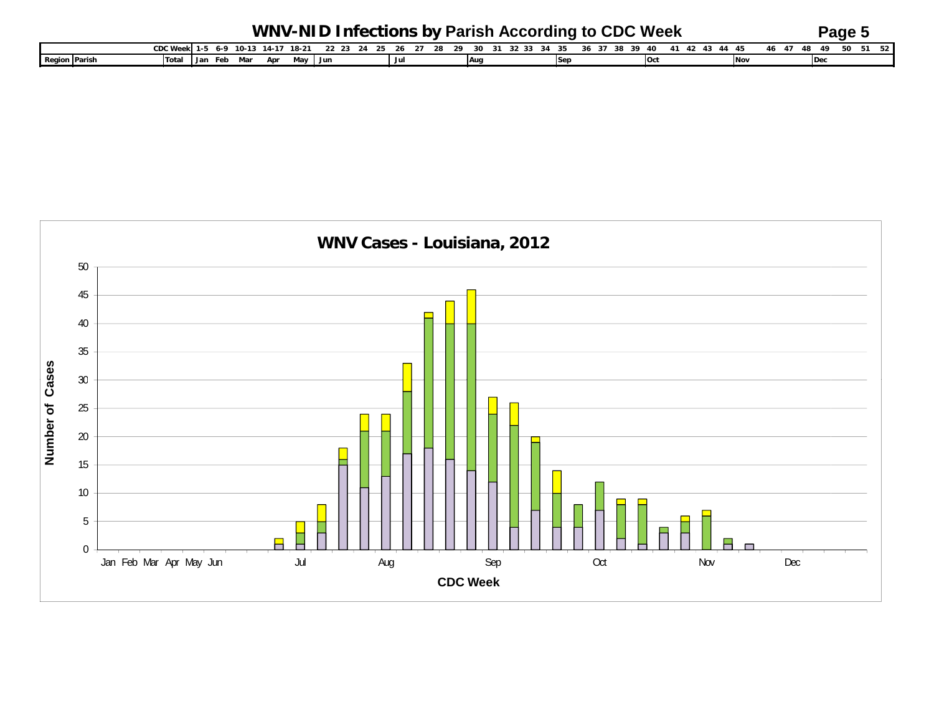|                      |                              |     |     |     |     |       | WNV-NID Infections by Parish According to CDC Week |                |  |    |    |  |  |       |    |            |  |            |       |       | $P$ age $\ddot{\circ}$ |       |
|----------------------|------------------------------|-----|-----|-----|-----|-------|----------------------------------------------------|----------------|--|----|----|--|--|-------|----|------------|--|------------|-------|-------|------------------------|-------|
|                      | CDC Week 1-5 6-9 10-13 14-17 |     |     |     |     | 18-21 |                                                    | 22 23 24 25 26 |  | 28 | ?ດ |  |  | 36 37 | ີ່ |            |  |            | 46 47 | 48.49 | 50                     | 51 52 |
| <b>Region Parish</b> | Tota.                        | Jan | Feb | Mar | Apr | Mav . | Jur                                                |                |  |    | Au |  |  |       |    | <b>Oct</b> |  | <b>Nov</b> |       |       |                        |       |

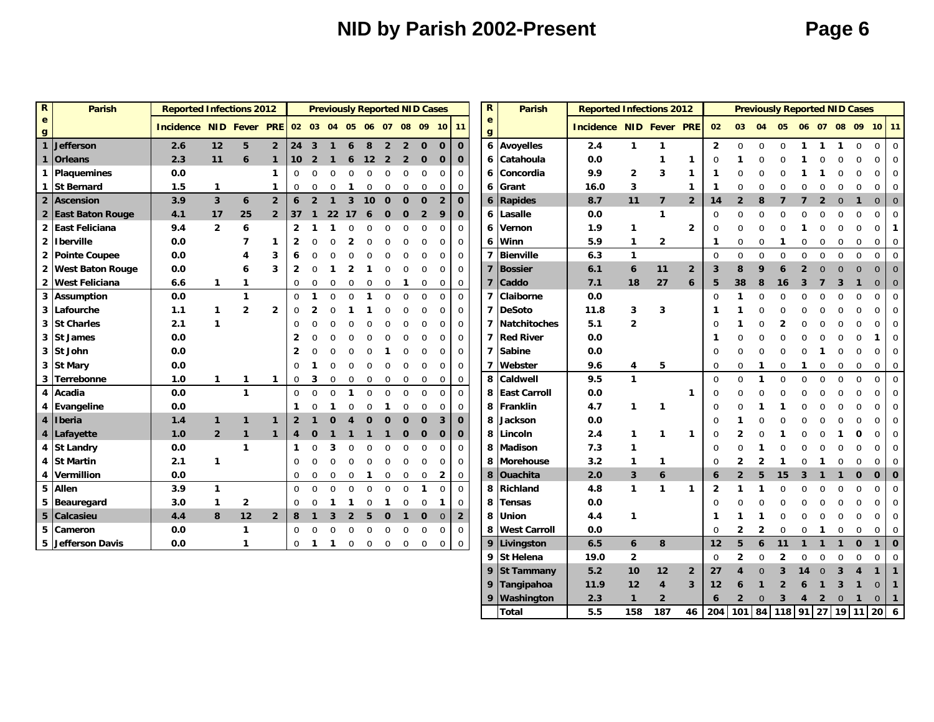## **NID by Parish 2002-Present Page 6**

0

9 Tangipahoa 11.9 12 4 3 12 6 1 2 6 1 3 1

Total 15.5 158 187 46 204 101 84 118 91 27 19 11 20 6

**9 Washington 2.3 1 2 6 2**

**3 42**

0 **1**0 **1**

0 **1**

| $\mathbf R$                  | <b>Parish</b>           | <b>Reported Infections 2012</b>                 |                |                |                |                 |                |                |                |              |                |                | <b>Previously Reported NID Cases</b> |                |                | $\mathbf R$                  | <b>Parish</b>       | <b>Reported Infections 2012</b> |                |                |                |                |                |              |             |              |          |              | <b>Previously Reported NID Cases</b> |                |                |
|------------------------------|-------------------------|-------------------------------------------------|----------------|----------------|----------------|-----------------|----------------|----------------|----------------|--------------|----------------|----------------|--------------------------------------|----------------|----------------|------------------------------|---------------------|---------------------------------|----------------|----------------|----------------|----------------|----------------|--------------|-------------|--------------|----------|--------------|--------------------------------------|----------------|----------------|
| $\mathbf{e}$<br>$\mathbf{g}$ |                         | Incidence NID Fever PRE 02 03 04 05 06 07 08 09 |                |                |                |                 |                |                |                |              |                |                |                                      |                | $10$ 11        | $\mathbf{e}$<br>$\mathbf{g}$ |                     | <b>Incidence NID Fever PRE</b>  |                |                |                | 02             | 03             | 04           | 05          |              |          |              | 06 07 08 09 10 11                    |                |                |
| 1                            | <b>Jefferson</b>        | 2.6                                             | 12             | 5              | $\overline{2}$ | 24              | $\overline{3}$ | $\mathbf{1}$   | 6              | 8            | $\overline{2}$ | $\overline{2}$ | $\mathbf 0$                          | $\Omega$       | $\mathbf 0$    | $\boldsymbol{6}$             | <b>Avoyelles</b>    | 2.4                             | 1              | $\mathbf{1}$   |                | $\overline{2}$ | $\mathbf 0$    | $\Omega$     | 0           | 1            |          | 1            | 0                                    | 0              | $\overline{0}$ |
| 1                            | <b>Orleans</b>          | 2.3                                             | 11             | 6              | $\mathbf{1}$   | 10 <sup>°</sup> | $\overline{2}$ | $\mathbf{1}$   | 6              | 12           | $\overline{2}$ | $\overline{2}$ | $\mathbf 0$                          | $\mathbf 0$    | $\mathbf 0$    | 6                            | Catahoula           | 0.0                             |                | $\mathbf{1}$   | 1              | $\mathbf 0$    |                | $\Omega$     |             |              |          |              | 0                                    | $\mathbf 0$    | 0              |
|                              | Plaquemines             | 0.0                                             |                |                | 1              | 0               |                | $\Omega$       | 0              | $\mathbf 0$  | 0              | $\Omega$       | $\mathbf 0$                          | $\Omega$       | $\mathbf 0$    | 6                            | Concordia           | 9.9                             | $\overline{2}$ | 3              | 1              | 1              |                |              |             |              |          |              |                                      | $\mathbf 0$    | 0              |
|                              | <b>St Bernard</b>       | 1.5                                             | 1              |                | 1              | 0               |                | $\Omega$       |                | $\mathbf 0$  | 0              | $\mathbf 0$    | $\mathbf 0$                          | $\Omega$       | $\mathbf 0$    | 6                            | Grant               | 16.0                            | 3              |                | 1              | 1              | $\Omega$       | 0            |             |              |          |              | 0                                    | $\Omega$       |                |
| $\overline{2}$               | Ascension               | 3.9                                             | $\overline{3}$ | 6              | $\overline{2}$ | 6               | $\overline{2}$ | $\mathbf{1}$   | $\mathbf{3}$   | 10           | $\mathbf 0$    | $\mathbf 0$    | $\mathbf{0}$                         | $\overline{2}$ | $\mathbf 0$    | 6                            | <b>Rapides</b>      | 8.7                             | 11             | $\overline{7}$ | $\overline{2}$ | 14             | $\overline{2}$ | 8            | 7           |              | 2        | $\mathbf 0$  | $\mathbf{1}$                         | $\mathbf 0$    | $\overline{0}$ |
|                              | 2 East Baton Rouge      | 4.1                                             | 17             | 25             | $\overline{2}$ | 37              | $\mathbf{1}$   | 22             | 17             | 6            | $\mathbf 0$    | $\mathbf 0$    | $\overline{2}$                       | 9              | $\mathbf 0$    | 6                            | Lasalle             | 0.0                             |                | $\mathbf{1}$   |                | $\mathbf 0$    | $\Omega$       | 0            |             |              |          |              | $\Omega$                             | 0              |                |
|                              | 2 East Feliciana        | 9.4                                             | $\overline{2}$ | 6              |                | $\overline{2}$  |                |                | O              | $\Omega$     | $\Omega$       | ∩              | <sup>0</sup>                         | 0              | $\mathbf{0}$   | 6                            | Vernon              | 1.9                             | $\mathbf{1}$   |                | $\overline{2}$ | $\mathbf 0$    | $\Omega$       | ი            |             |              |          |              | O                                    | 0              | 1              |
|                              | 2 Iberville             | 0.0                                             |                | 7              | 1              | $\mathbf{2}$    |                |                | 2              | <sup>0</sup> | ∩              |                | <sup>0</sup>                         | 0              | $\mathbf 0$    | 6                            | Winn                | 5.9                             | $\mathbf{1}$   | $\overline{2}$ |                | 1              | $\mathbf 0$    | $\Omega$     |             | $\Omega$     | 0        | $\Omega$     | $\mathbf 0$                          | 0              | 0              |
| $\overline{2}$               | <b>Pointe Coupee</b>    | 0.0                                             |                |                | 3              | 6               |                |                |                |              | $\Omega$       |                | $\Omega$                             | $\Omega$       | $\mathbf 0$    | $\overline{7}$               | <b>Bienville</b>    | 6.3                             | $\mathbf{1}$   |                |                | $\Omega$       | $\Omega$       | $\Omega$     | $\Omega$    | $\Omega$     | $\Omega$ | $\Omega$     | $\Omega$                             | $\mathbf 0$    | $\Omega$       |
| $\mathbf{2}$                 | <b>West Baton Rouge</b> | 0.0                                             |                | 6              | 3              | $\overline{2}$  |                |                | 2              |              | $\Omega$       |                | $\Omega$                             | $\Omega$       | $\mathbf 0$    | $\overline{\mathbf{z}}$      | Bossier             | 6.1                             | 6              | 11             | $\overline{2}$ | 3              | 8              | 9            | 6           |              |          |              | $\Omega$                             | $\overline{0}$ | $\Omega$       |
| $\mathbf{2}$                 | <b>West Feliciana</b>   | 6.6                                             | 1              | $\mathbf{1}$   |                | 0               |                | $\Omega$       | $\mathbf 0$    | $\Omega$     | $\mathbf 0$    | -1             | $\mathbf 0$                          | $\mathbf 0$    | $\mathbf{0}$   | 7                            | Caddo               | 7.1                             | 18             | 27             | 6              | 5              | 38             | 8            | 16          | 3            |          | 3            | 1                                    | $\mathbf 0$    | $\overline{0}$ |
| 3                            | <b>Assumption</b>       | 0.0                                             |                | $\mathbf{1}$   |                | $\mathbf 0$     |                | $\Omega$       | $\Omega$       | 1            | $\mathbf 0$    | $\Omega$       | $\Omega$                             | $\Omega$       | $\mathbf 0$    | 7                            | Claiborne           | 0.0                             |                |                |                | $\mathbf 0$    | 1              | $\Omega$     |             |              |          |              | $\Omega$                             | 0              |                |
| 3                            | Lafourche               | 1.1                                             | 1              | $\overline{2}$ | $\mathbf{2}$   | 0               |                |                |                |              |                |                |                                      | 0              | $\mathbf 0$    | $\overline{ }$               | <b>DeSoto</b>       | 11.8                            | 3              | 3              |                | 1              |                |              |             |              |          |              |                                      | 0              |                |
| 3                            | <b>St Charles</b>       | 2.1                                             | 1              |                |                | $\Omega$        |                |                |                |              |                |                |                                      | 0              | $\mathbf 0$    | 7                            | Natchitoches        | 5.1                             | $\overline{2}$ |                |                | $\mathbf 0$    |                |              |             |              |          |              |                                      | 0              |                |
| 3                            | <b>St James</b>         | 0.0                                             |                |                |                | $\overline{2}$  |                |                |                |              |                |                |                                      | 0              | $\mathbf 0$    | $\overline{ }$               | <b>Red River</b>    | 0.0                             |                |                |                | 1              | O              | ი            |             |              |          |              |                                      | 1              | 0              |
| 3                            | St John                 | 0.0                                             |                |                |                | $\overline{2}$  |                |                |                |              |                |                |                                      | 0              | $\mathbf 0$    | 7                            | <b>Sabine</b>       | 0.0                             |                |                |                | $\Omega$       | $\Omega$       | $\Omega$     | $\Omega$    | $\Omega$     |          | ∩            | $\Omega$                             | 0              | 0              |
|                              | 3 St Mary               | 0.0                                             |                |                |                | $\Omega$        |                | $\Omega$       | U              | $\Omega$     | $\Omega$       | $\Omega$       | $\Omega$                             | $\Omega$       | $\mathbf 0$    | 7                            | Webster             | 9.6                             | 4              | 5              |                | $\mathbf 0$    | $\Omega$       | 1            | $\mathbf 0$ | 1            | 0        | 0            | 0                                    | $\mathbf 0$    | 0              |
| 3                            | Terrebonne              | 1.0                                             | 1              | $\mathbf{1}$   | $\mathbf{1}$   | 0               | 3              | $\mathbf 0$    | 0              | $\Omega$     | 0              | 0              | 0                                    | 0              | 0              | 8                            | Caldwell            | 9.5                             | $\mathbf{1}$   |                |                | $\Omega$       | $\Omega$       | 1            | $\Omega$    | $\Omega$     | O        | $\Omega$     | $\Omega$                             | $\mathbf 0$    | $\Omega$       |
| 4                            | Acadia                  | 0.0                                             |                | $\mathbf{1}$   |                | $\Omega$        |                | $\Omega$       | -1             | $\Omega$     | $\mathbf 0$    | $\Omega$       | $\Omega$                             | $\Omega$       | $\mathbf 0$    | 8                            | <b>East Carroll</b> | 0.0                             |                |                | 1              | $\Omega$       |                |              |             |              |          |              |                                      | 0              | $\Omega$       |
| 4                            | <b>Evangeline</b>       | 0.0                                             |                |                |                | 1               |                |                |                | $\Omega$     |                | 0              | $\Omega$                             | $\Omega$       | $\mathbf 0$    | 8                            | Franklin            | 4.7                             | 1              | $\mathbf{1}$   |                | $\Omega$       |                |              |             |              |          |              |                                      | $\Omega$       |                |
| 4                            | <b>I</b> beria          | 1.4                                             | $\mathbf{1}$   | $\mathbf{1}$   | $\mathbf 1$    | $\overline{2}$  |                | ი              |                | $\Omega$     | $\Omega$       |                | $\Omega$                             | 3              | $\mathbf 0$    | 8                            | Jackson             | 0.0                             |                |                |                | O              |                |              |             |              |          |              |                                      | 0              |                |
| 4                            | Lafayette               | 1.0                                             | $\overline{2}$ | $\mathbf{1}$   | $\mathbf{1}$   | 4               |                |                |                |              |                | 0              | $\mathbf 0$                          | $\mathbf 0$    | $\mathbf 0$    | 8                            | Lincoln             | 2.4                             | 1              | $\mathbf{1}$   | $\mathbf{1}$   | $\mathbf 0$    |                |              |             |              |          |              |                                      | 0              |                |
| 4                            | <b>St Landry</b>        | 0.0                                             |                | $\mathbf{1}$   |                | $\mathbf 1$     |                | 3              | O              | <sup>0</sup> | $\Omega$       |                |                                      | 0              | $\mathbf{0}$   | 8                            | <b>Madison</b>      | 7.3                             | 1              |                |                | $\mathbf 0$    |                |              |             |              |          |              |                                      | 0              | 0              |
| 4                            | <b>St Martin</b>        | 2.1                                             | 1              |                |                | $\mathbf 0$     |                | O              | $\Omega$       | $\Omega$     | $\mathbf 0$    | $\Omega$       | $\Omega$                             | $\Omega$       | $\mathbf 0$    | 8                            | <b>Morehouse</b>    | 3.2                             | $\mathbf{1}$   | 1              |                | $\mathbf 0$    | $\overline{2}$ | 2            |             |              |          |              |                                      | 0              | 0              |
| 4                            | Vermillion              | 0.0                                             |                |                |                | $\mathbf 0$     |                | $\Omega$       | 0              | 1            | $\mathbf 0$    | 0              | 0                                    | 2              | 0              | 8                            | <b>Ouachita</b>     | 2.0                             | $\mathbf{3}$   | 6              |                | 6              | $\overline{2}$ | 5            | 15          | -3           |          |              | 0                                    | $\mathbf 0$    | $\bf{0}$       |
| 5                            | Allen                   | 3.9                                             | $\mathbf{1}$   |                |                | $\mathbf 0$     | $\Omega$       | $\Omega$       | $\Omega$       | $\mathbf 0$  | $\mathbf 0$    | $\Omega$       | 1                                    | $\Omega$       | $\mathbf 0$    | 8                            | <b>Richland</b>     | 4.8                             | $\mathbf{1}$   | $\mathbf{1}$   | $\mathbf{1}$   | 2              |                |              |             |              |          |              | $\Omega$                             | $\mathbf 0$    | 0              |
| 5                            | Beauregard              | 3.0                                             | 1              | $\overline{2}$ |                | 0               |                |                | $\mathbf 1$    | 0            | $\mathbf 1$    | $\mathbf 0$    | 0                                    | 1              | $\mathbf 0$    | 8                            | Tensas              | 0.0                             |                |                |                | $\Omega$       |                |              |             |              |          |              |                                      | $\mathbf 0$    | 0              |
|                              | 5 Calcasieu             | 4.4                                             | 8              | 12             | $\overline{2}$ | 8               |                | $\overline{3}$ | $\overline{2}$ | 5            | $\mathbf 0$    | $\mathbf{1}$   | $\mathbf 0$                          | $\mathbf 0$    | $\overline{2}$ | 8                            | Union               | 4.4                             | $\mathbf{1}$   |                |                | 1              |                |              | $\Omega$    | $\Omega$     | U        | <sup>0</sup> | $\Omega$                             | $\mathbf 0$    | 0              |
| 5                            | Cameron                 | 0.0                                             |                | 1              |                | $\mathbf 0$     |                | $\Omega$       | $\mathbf 0$    | $\mathbf 0$  | $\mathbf 0$    | 0              | $\Omega$                             | $\Omega$       | $\mathbf 0$    | 8                            | <b>West Carroll</b> | 0.0                             |                |                |                | $\mathbf 0$    | $\overline{2}$ | $\mathbf{2}$ | $\mathbf 0$ | $\mathbf 0$  | -1       | 0            | 0                                    | $\mathbf 0$    | 0              |
|                              | 5 Jefferson Davis       | 0.0                                             |                | 1              |                | $\overline{0}$  | $\overline{1}$ | $\mathbf{1}$   | 0              | 0            | $\mathbf 0$    | $\mathbf 0$    | $\mathbf{0}$                         | 0              | $\overline{0}$ | 9                            | Livingston          | 6.5                             | 6              | 8              |                | 12             | 5              | 6            | 11          | $\mathbf{1}$ |          |              | $\mathbf 0$                          | $\mathbf{1}$   | $\mathbf 0$    |
|                              |                         |                                                 |                |                |                |                 |                |                |                |              |                |                |                                      |                |                | 9                            | <b>St Helena</b>    | 19.0                            | $\overline{2}$ |                |                | $\mathbf 0$    | $\overline{2}$ | $\Omega$     | 2           | $\Omega$     | U        | ∩            | $\Omega$                             | 0              | 0              |
|                              |                         |                                                 |                |                |                |                 |                |                |                |              |                |                |                                      |                |                | 9                            | <b>St Tammany</b>   | 5.2                             | 10             | 12             | $\overline{2}$ | 27             | 4              | $\Omega$     | 3           | 14           | $\Omega$ | 3            | 4                                    | 1              |                |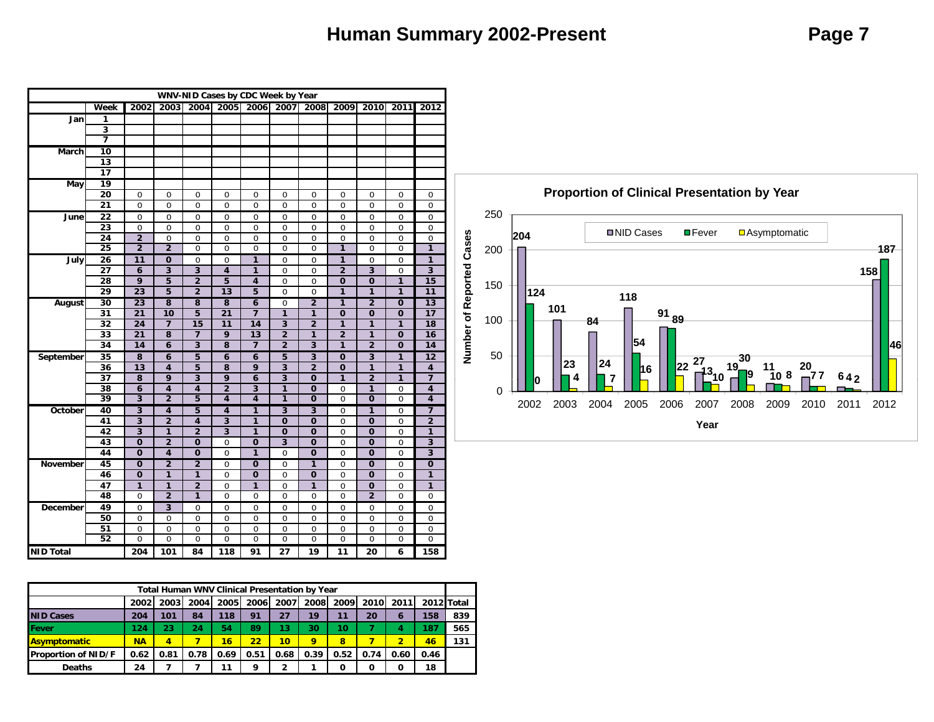### **Human Summary 2002-Present** *Page 7*

|                  |                         |                         |                            |                         | WNV-NID Cases by CDC Week by Year |                            |                               |                               |                |                                 |                  |                            |
|------------------|-------------------------|-------------------------|----------------------------|-------------------------|-----------------------------------|----------------------------|-------------------------------|-------------------------------|----------------|---------------------------------|------------------|----------------------------|
|                  | Week                    | 2002                    | 2003                       |                         | 2004 2005 2006 2007               |                            |                               | 2008                          | 2009           | 2010                            | 2011             | 2012                       |
| Jan              | 1                       |                         |                            |                         |                                   |                            |                               |                               |                |                                 |                  |                            |
|                  | $\overline{\mathbf{3}}$ |                         |                            |                         |                                   |                            |                               |                               |                |                                 |                  |                            |
|                  | 7                       |                         |                            |                         |                                   |                            |                               |                               |                |                                 |                  |                            |
| March            | 10                      |                         |                            |                         |                                   |                            |                               |                               |                |                                 |                  |                            |
|                  | $\overline{13}$         |                         |                            |                         |                                   |                            |                               |                               |                |                                 |                  |                            |
|                  | $\overline{17}$         |                         |                            |                         |                                   |                            |                               |                               |                |                                 |                  |                            |
| May              | 19                      |                         |                            |                         |                                   |                            |                               |                               |                |                                 |                  |                            |
|                  | 20                      | $\mathbf 0$             | $\mathbf 0$                | $\bf 0$                 | $\mathbf 0$                       | $\mathbf 0$                | $\mathbf 0$                   | $\mathbf 0$                   | $\mathbf 0$    | $\mathbf 0$                     | $\mathbf 0$      | 0                          |
|                  | $\overline{21}$         | $\overline{0}$          | $\overline{0}$             | $\overline{0}$          | $\overline{0}$                    | $\overline{0}$             | $\mathbf 0$                   | $\overline{0}$                | $\overline{0}$ | $\overline{0}$                  | $\overline{0}$   | 0                          |
| June             | $\overline{22}$         | $\overline{0}$          | $\overline{0}$             | $\overline{0}$          | 0                                 | 0                          | 0                             | 0                             | $\overline{0}$ | 0                               | 0                | 0                          |
|                  | 23                      | $\boldsymbol{0}$        | $\overline{0}$             | $\pmb{0}$               | $\mathbf 0$                       | $\mathbf 0$                | 0                             | $\mathbf 0$                   | $\mathbf 0$    | $\overline{0}$                  | 0                | $\boldsymbol{0}$           |
|                  | $\overline{24}$         | $\overline{2}$          | $\overline{0}$             | 0                       | $\overline{0}$                    | $\overline{0}$             | $\overline{0}$                | $\overline{0}$                | $\mathbf 0$    | $\overline{0}$                  | 0                | $\overline{0}$             |
|                  | $\overline{25}$         | $\overline{2}$          | $\overline{2}$             | $\boldsymbol{0}$        | $\mathbf 0$                       | 0                          | $\mathbf 0$                   | $\mathbf 0$                   | 1              | $\mathbf 0$                     | $\mathbf 0$      | 1                          |
| July             | 26                      | 11                      | $\bf{0}$                   | 0                       | 0                                 | 1                          | 0                             | 0                             | 1              | 0                               | 0                | 1                          |
|                  | 27                      | $\boldsymbol{6}$        | $\overline{\mathbf{3}}$    | $\overline{\mathbf{3}}$ | $\overline{\mathbf{4}}$           | 1                          | 0                             | $\mathbf 0$                   | $\overline{2}$ | $\overline{\mathbf{3}}$         | 0                | 3                          |
|                  | 28                      | 9                       | 5                          | $\overline{2}$          | 5                                 | 4                          | $\mathbf 0$                   | $\mathbf 0$                   | $\mathbf 0$    | $\bf{0}$                        | 1                | 15                         |
|                  | 29                      | 23                      | 5                          | $\overline{2}$          | 13                                | 5                          | $\overline{0}$                | $\overline{0}$                | 1              | 1                               | 1                | 11                         |
| August           | 30                      | $\overline{23}$         | 8                          | 8                       | 8                                 | 6                          | 0                             | $\overline{2}$                | $\overline{1}$ | $\overline{2}$                  | $\overline{0}$   | 13                         |
|                  | 31                      | $\overline{21}$         | $\overline{10}$            | $\overline{5}$          | $\overline{21}$                   |                            | $\mathbf{1}$                  | 1                             | $\overline{0}$ | $\overline{0}$                  | $\overline{0}$   | 17                         |
|                  | 32                      | 24                      | $\overline{\mathbf{z}}$    | 15                      | 11                                | 14                         | $\overline{\mathbf{3}}$       | $\overline{2}$                | 1              | 1                               | 1                | 18                         |
|                  | 33                      | $\overline{21}$         | $\overline{8}$             | 7                       | 9                                 | $\overline{13}$            | $\overline{2}$                | 1                             | $\overline{2}$ | 1                               | $\mathbf 0$      | 16                         |
|                  | 34                      | 14                      | $\overline{6}$             | $\overline{\mathbf{3}}$ | $\overline{\mathbf{8}}$           | $\overline{\mathbf{z}}$    | $\overline{2}$                | $\overline{\mathbf{3}}$       | 1              | $\overline{2}$                  | $\overline{0}$   | 14                         |
| September        | $\overline{35}$         | 8                       | 6                          | 5                       | 6                                 | 6                          | 5                             | $\overline{3}$                | $\mathbf 0$    | $\overline{3}$                  | 1                | $\overline{12}$            |
|                  | 36                      | 13                      | 4                          | 5                       | 8                                 | 9                          | 3                             | $\overline{2}$                | $\mathbf 0$    | 1                               | 1                | $\overline{\mathbf{4}}$    |
|                  | $\overline{37}$         | $\overline{\mathbf{8}}$ | $\overline{9}$             | $\overline{\mathbf{3}}$ | 9                                 | 6                          | $\overline{\mathbf{3}}$       | $\bf{0}$                      | 1              | $\overline{2}$                  | 1                | $\overline{7}$             |
|                  | 38                      | 6                       | $\overline{4}$             | $\overline{4}$          | $\overline{2}$                    | 3                          | $\mathbf{1}$                  | $\bf{0}$                      | 0              | 1                               | $\mathbf 0$      | 4                          |
|                  | 39                      | $\overline{\mathbf{3}}$ | $\overline{2}$             | $\overline{5}$          | 4                                 | 4                          | 1                             | $\overline{0}$                | $\overline{0}$ | $\overline{0}$                  | $\overline{0}$   | 4                          |
| October          | 40                      | 3                       | 4                          | 5                       | 4                                 | 1                          | 3                             | 3                             | 0              | 1                               | $\mathbf 0$      | 7                          |
|                  | 41                      | $\overline{\mathbf{3}}$ | $\overline{2}$             | 4                       | $\overline{\mathbf{3}}$           | 1                          | $\mathbf 0$                   | $\bf{0}$                      | $\mathbf 0$    | $\mathbf 0$                     | $\mathbf 0$      | $\overline{2}$             |
|                  | 42                      | $\overline{3}$          | $\mathbf{1}$               | $\overline{2}$          | 3                                 | 1                          | $\mathbf 0$                   | $\mathbf 0$                   | $\overline{0}$ | $\mathbf 0$                     | $\mathbf 0$      | 1                          |
|                  | 43                      | $\mathbf 0$             | $\overline{2}$             | $\mathbf 0$             | $\mathbf 0$                       | $\mathbf 0$                | 3                             | $\bf{0}$                      | 0              | $\bf{0}$                        | 0                | 3                          |
|                  | 44                      | $\overline{0}$          | 4                          | $\overline{0}$          | $\overline{0}$                    | 1                          | 0                             | $\overline{0}$                | $\overline{0}$ | $\overline{0}$                  | $\overline{0}$   | $\overline{\mathbf{3}}$    |
| <b>November</b>  | 45                      | $\overline{0}$          | $\overline{2}$             | $\overline{2}$          | $\overline{0}$                    | $\overline{0}$             | 0                             | 1                             | $\overline{0}$ | $\overline{0}$                  | 0                | $\overline{0}$             |
|                  | 46                      | $\mathbf 0$             | $\mathbf{1}$               | 1                       | $\mathbf 0$                       | $\mathbf 0$                | $\mathbf 0$                   | $\mathbf 0$                   | $\overline{0}$ | $\mathbf 0$                     | $\mathbf 0$      | $\mathbf{1}$               |
|                  | 47                      | 1                       | 1                          | $\overline{2}$          | $\mathbf 0$                       | 1                          | 0                             | 1                             | $\mathbf 0$    | $\bf{0}$                        | 0                | 1                          |
|                  | 48                      | 0                       | $\overline{2}$             | 1                       | $\overline{0}$                    | $\mathbf 0$                | $\mathbf 0$                   | $\mathbf 0$                   | $\overline{0}$ | $\overline{2}$                  | $\overline{0}$   | $\boldsymbol{0}$           |
| December         | 49                      | $\overline{0}$          | $\overline{3}$             | $\overline{0}$          | $\overline{0}$                    | $\overline{0}$             | 0                             | $\overline{0}$                | $\overline{0}$ | $\overline{0}$                  | $\overline{0}$   | 0                          |
|                  | 50                      | 0                       | $\mathbf 0$                | 0                       | $\mathbf 0$                       | $\mathbf 0$                | $\mathbf 0$                   | 0                             | 0              | $\mathbf 0$                     | $\mathbf 0$      | $\mathbf 0$                |
|                  | 51<br>52                | $\overline{0}$          | $\mathbf 0$<br>$\mathbf 0$ | 0<br>0                  | $\overline{0}$<br>$\mathbf 0$     | $\mathbf 0$<br>$\mathbf 0$ | $\overline{0}$<br>$\mathbf 0$ | $\overline{0}$<br>$\mathbf 0$ | $\overline{0}$ | $\mathbf 0$<br>$\boldsymbol{0}$ | $\mathbf 0$<br>0 | $\mathbf 0$<br>$\mathbf 0$ |
| <b>NID Total</b> |                         | 0<br>204                | 101                        | 84                      | 118                               | 91                         | 27                            | 19                            | 0<br>11        | 20                              | 6                | 158                        |
|                  |                         |                         |                            |                         |                                   |                            |                               |                               |                |                                 |                  |                            |

|                            |           |                         | <b>Total Human WNV Clinical Presentation by Year</b> |      |      |                 |      |      |             |           |            |     |
|----------------------------|-----------|-------------------------|------------------------------------------------------|------|------|-----------------|------|------|-------------|-----------|------------|-----|
|                            | 2002      | 2003                    | 2004                                                 | 2005 | 2006 | 2007            | 2008 | 2009 | <b>2010</b> | 2011      | 2012 Total |     |
| <b>NID Cases</b>           | 204       | 101                     | 84                                                   | 118  | 91   | 27              | 19   | 11   | 20          | $\bullet$ | 158        | 839 |
| <b>Fever</b>               | 124       | 23                      | 24                                                   | 54   | 89   | 13              | 30   | 10   |             | 4         | 187        | 565 |
| <b>Asymptomatic</b>        | <b>NA</b> | $\overline{\mathbf{4}}$ |                                                      | 16   | 22   | 10 <sup>1</sup> | 9    | 8    |             | 2         | 46         | 131 |
| <b>Proportion of NID/F</b> | 0.62      | 0.81                    | 0.78                                                 | 0.69 | 0.51 | 0.68            | 0.39 | 0.52 | 0.74        | 0.60      | 0.46       |     |
| <b>Deaths</b>              | 24        |                         |                                                      | 11   | q    | 2               |      | O    |             | 0         | 18         |     |

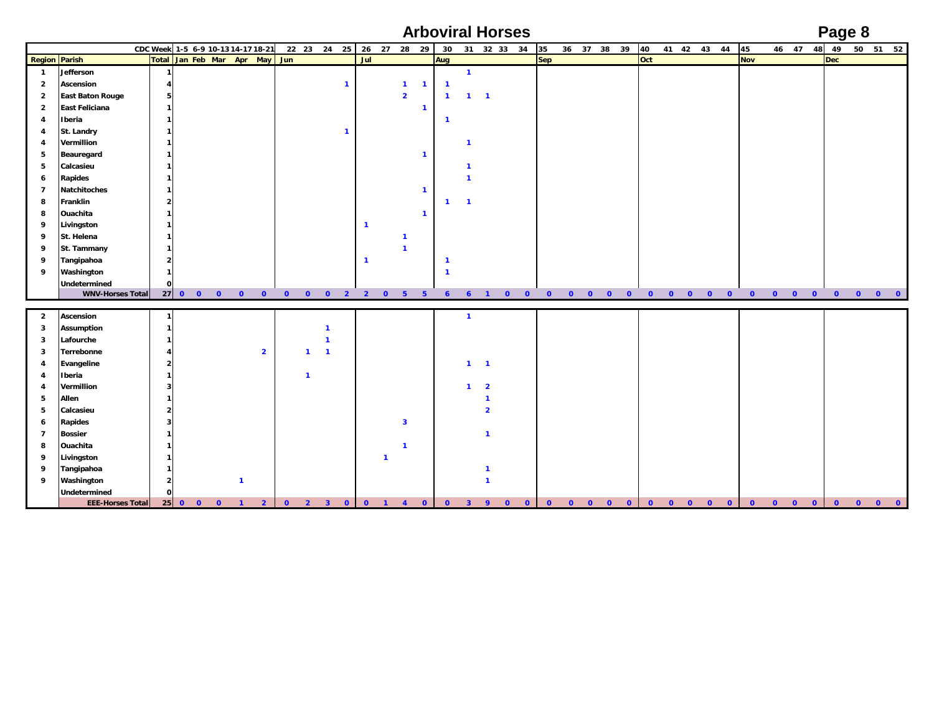**Arboviral Horses Page 8**

|                |                         | CDC Week 1-5 6-9 10-13 14-17 18-21 |                     |          |                         |                         |                |                               |           |                |                | 22 23 24 25             |              | 26 27 28 29    |                         |              | 30 <sup>°</sup>         |                         |                                         |              | 31 32 33 34 | 35           |              | 36 37 38 39 |              |           | 40        | 41 42 43 44  |          |          |           | 45         |           |              | 46 47        | 48        | 49         |           | 50 51 52 |  |
|----------------|-------------------------|------------------------------------|---------------------|----------|-------------------------|-------------------------|----------------|-------------------------------|-----------|----------------|----------------|-------------------------|--------------|----------------|-------------------------|--------------|-------------------------|-------------------------|-----------------------------------------|--------------|-------------|--------------|--------------|-------------|--------------|-----------|-----------|--------------|----------|----------|-----------|------------|-----------|--------------|--------------|-----------|------------|-----------|----------|--|
|                | <b>Region Parish</b>    |                                    |                     |          |                         |                         |                | Total Jan Feb Mar Apr May Jun |           |                |                |                         | Jul          |                |                         |              | Aug                     |                         |                                         |              |             | <b>Sep</b>   |              |             |              |           | Oct       |              |          |          |           | <b>Nov</b> |           |              |              |           | <b>Dec</b> |           |          |  |
| $\overline{1}$ | Jefferson               |                                    | 1                   |          |                         |                         |                |                               |           |                |                |                         |              |                |                         |              |                         | $\mathbf{1}$            |                                         |              |             |              |              |             |              |           |           |              |          |          |           |            |           |              |              |           |            |           |          |  |
| $\overline{2}$ | Ascension               |                                    | 4                   |          |                         |                         |                |                               |           |                |                | $\mathbf{1}$            |              |                | $\mathbf{1}$            | $\mathbf{1}$ | $\mathbf{1}$            |                         |                                         |              |             |              |              |             |              |           |           |              |          |          |           |            |           |              |              |           |            |           |          |  |
| $\overline{2}$ | <b>East Baton Rouge</b> |                                    | 5                   |          |                         |                         |                |                               |           |                |                |                         |              |                | $\overline{2}$          |              | $\mathbf{1}$            | $\mathbf{1}$            | $\overline{\mathbf{1}}$                 |              |             |              |              |             |              |           |           |              |          |          |           |            |           |              |              |           |            |           |          |  |
| $\overline{2}$ | <b>East Feliciana</b>   |                                    | 1                   |          |                         |                         |                |                               |           |                |                |                         |              |                |                         | $\mathbf{1}$ |                         |                         |                                         |              |             |              |              |             |              |           |           |              |          |          |           |            |           |              |              |           |            |           |          |  |
| 4              | Iberia                  |                                    | $\mathbf{1}$        |          |                         |                         |                |                               |           |                |                |                         |              |                |                         |              | -1                      |                         |                                         |              |             |              |              |             |              |           |           |              |          |          |           |            |           |              |              |           |            |           |          |  |
| 4              | St. Landry              |                                    | 1                   |          |                         |                         |                |                               |           |                |                | $\overline{1}$          |              |                |                         |              |                         |                         |                                         |              |             |              |              |             |              |           |           |              |          |          |           |            |           |              |              |           |            |           |          |  |
| $\overline{4}$ | Vermillion              |                                    | 1                   |          |                         |                         |                |                               |           |                |                |                         |              |                |                         |              |                         | $\mathbf{1}$            |                                         |              |             |              |              |             |              |           |           |              |          |          |           |            |           |              |              |           |            |           |          |  |
| 5              | Beauregard              |                                    | 1                   |          |                         |                         |                |                               |           |                |                |                         |              |                |                         | $\mathbf{1}$ |                         |                         |                                         |              |             |              |              |             |              |           |           |              |          |          |           |            |           |              |              |           |            |           |          |  |
| 5              | Calcasieu               |                                    | 1                   |          |                         |                         |                |                               |           |                |                |                         |              |                |                         |              |                         | $\mathbf{1}$            |                                         |              |             |              |              |             |              |           |           |              |          |          |           |            |           |              |              |           |            |           |          |  |
| 6              | Rapides                 |                                    | 1                   |          |                         |                         |                |                               |           |                |                |                         |              |                |                         |              |                         | $\mathbf{1}$            |                                         |              |             |              |              |             |              |           |           |              |          |          |           |            |           |              |              |           |            |           |          |  |
| $\overline{7}$ | Natchitoches            |                                    | 1                   |          |                         |                         |                |                               |           |                |                |                         |              |                |                         | $\mathbf{1}$ |                         |                         |                                         |              |             |              |              |             |              |           |           |              |          |          |           |            |           |              |              |           |            |           |          |  |
| 8              | Franklin                |                                    | $\overline{2}$      |          |                         |                         |                |                               |           |                |                |                         |              |                |                         |              | $\mathbf{1}$            | $\overline{1}$          |                                         |              |             |              |              |             |              |           |           |              |          |          |           |            |           |              |              |           |            |           |          |  |
| 8              | Ouachita                |                                    | 1                   |          |                         |                         |                |                               |           |                |                |                         |              |                |                         | $\mathbf{1}$ |                         |                         |                                         |              |             |              |              |             |              |           |           |              |          |          |           |            |           |              |              |           |            |           |          |  |
| 9              | Livingston              |                                    | -1                  |          |                         |                         |                |                               |           |                |                |                         | $\mathbf{1}$ |                |                         |              |                         |                         |                                         |              |             |              |              |             |              |           |           |              |          |          |           |            |           |              |              |           |            |           |          |  |
| 9              | St. Helena              |                                    | 1                   |          |                         |                         |                |                               |           |                |                |                         |              |                | $\mathbf{1}$            |              |                         |                         |                                         |              |             |              |              |             |              |           |           |              |          |          |           |            |           |              |              |           |            |           |          |  |
| 9              | St. Tammany             |                                    | 1                   |          |                         |                         |                |                               |           |                |                |                         |              |                | $\mathbf{1}$            |              |                         |                         |                                         |              |             |              |              |             |              |           |           |              |          |          |           |            |           |              |              |           |            |           |          |  |
| 9              | Tangipahoa              |                                    | $\overline{2}$      |          |                         |                         |                |                               |           |                |                |                         | $\mathbf{1}$ |                |                         |              | $\overline{\mathbf{1}}$ |                         |                                         |              |             |              |              |             |              |           |           |              |          |          |           |            |           |              |              |           |            |           |          |  |
| 9              | Washington              |                                    | $\mathbf{1}$        |          |                         |                         |                |                               |           |                |                |                         |              |                |                         |              | $\overline{\mathbf{1}}$ |                         |                                         |              |             |              |              |             |              |           |           |              |          |          |           |            |           |              |              |           |            |           |          |  |
|                | Undetermined            |                                    | $\mathbf{0}$        |          |                         |                         |                |                               |           |                |                |                         |              |                |                         |              |                         |                         |                                         |              |             |              |              |             |              |           |           |              |          |          |           |            |           |              |              |           |            |           |          |  |
|                | <b>WNV-Horses Total</b> |                                    |                     |          |                         |                         |                |                               |           |                |                |                         |              |                |                         |              |                         |                         |                                         |              |             |              |              |             |              |           |           |              |          |          |           |            |           |              |              |           |            |           |          |  |
|                |                         |                                    |                     |          |                         |                         |                |                               |           |                |                |                         |              |                |                         |              |                         |                         |                                         |              |             |              |              |             |              |           |           |              |          |          |           |            |           |              |              |           |            |           |          |  |
| $\overline{2}$ | Ascension               |                                    | 1                   |          |                         |                         |                |                               |           |                |                |                         |              |                |                         |              |                         | $\overline{1}$          |                                         |              |             |              |              |             |              |           |           |              |          |          |           |            |           |              |              |           |            |           |          |  |
| 3              | <b>Assumption</b>       |                                    | 1                   |          |                         |                         |                |                               |           |                | $\mathbf{1}$   |                         |              |                |                         |              |                         |                         |                                         |              |             |              |              |             |              |           |           |              |          |          |           |            |           |              |              |           |            |           |          |  |
| 3              | Lafourche               |                                    | 1                   |          |                         |                         |                |                               |           |                | $\mathbf{1}$   |                         |              |                |                         |              |                         |                         |                                         |              |             |              |              |             |              |           |           |              |          |          |           |            |           |              |              |           |            |           |          |  |
| 3              | Terrebonne              |                                    |                     |          |                         |                         | $\overline{2}$ |                               |           | $\mathbf{1}$   | $\overline{1}$ |                         |              |                |                         |              |                         |                         |                                         |              |             |              |              |             |              |           |           |              |          |          |           |            |           |              |              |           |            |           |          |  |
| 4              | Evangeline<br>Iberia    |                                    | $\overline{2}$      |          |                         |                         |                |                               |           |                |                |                         |              |                |                         |              |                         |                         | $1 \quad 1$                             |              |             |              |              |             |              |           |           |              |          |          |           |            |           |              |              |           |            |           |          |  |
| 4              | Vermillion              |                                    | 1<br>3 <sup>1</sup> |          |                         |                         |                |                               |           | $\mathbf{1}$   |                |                         |              |                |                         |              |                         | $\mathbf{1}$            |                                         |              |             |              |              |             |              |           |           |              |          |          |           |            |           |              |              |           |            |           |          |  |
| 4<br>5         | Allen                   |                                    | 1                   |          |                         |                         |                |                               |           |                |                |                         |              |                |                         |              |                         |                         | $\overline{\mathbf{2}}$<br>$\mathbf{1}$ |              |             |              |              |             |              |           |           |              |          |          |           |            |           |              |              |           |            |           |          |  |
| 5              | Calcasieu               |                                    | $\overline{2}$      |          |                         |                         |                |                               |           |                |                |                         |              |                |                         |              |                         |                         | $\overline{2}$                          |              |             |              |              |             |              |           |           |              |          |          |           |            |           |              |              |           |            |           |          |  |
| 6              | <b>Rapides</b>          |                                    | 3 <sup>1</sup>      |          |                         |                         |                |                               |           |                |                |                         |              |                | $\overline{\mathbf{3}}$ |              |                         |                         |                                         |              |             |              |              |             |              |           |           |              |          |          |           |            |           |              |              |           |            |           |          |  |
| $\overline{7}$ | <b>Bossier</b>          |                                    | 1                   |          |                         |                         |                |                               |           |                |                |                         |              |                |                         |              |                         |                         | $\mathbf{1}$                            |              |             |              |              |             |              |           |           |              |          |          |           |            |           |              |              |           |            |           |          |  |
| 8              | Ouachita                |                                    | 1                   |          |                         |                         |                |                               |           |                |                |                         |              |                | $\overline{1}$          |              |                         |                         |                                         |              |             |              |              |             |              |           |           |              |          |          |           |            |           |              |              |           |            |           |          |  |
| 9              | Livingston              |                                    | 1                   |          |                         |                         |                |                               |           |                |                |                         |              | $\mathbf{1}$   |                         |              |                         |                         |                                         |              |             |              |              |             |              |           |           |              |          |          |           |            |           |              |              |           |            |           |          |  |
| 9              | Tangipahoa              |                                    | 1                   |          |                         |                         |                |                               |           |                |                |                         |              |                |                         |              |                         |                         | $\overline{1}$                          |              |             |              |              |             |              |           |           |              |          |          |           |            |           |              |              |           |            |           |          |  |
| 9              | Washington              |                                    | 2 <sub>1</sub>      |          |                         | $\overline{\mathbf{1}}$ |                |                               |           |                |                |                         |              |                |                         |              |                         |                         | $\mathbf{1}$                            |              |             |              |              |             |              |           |           |              |          |          |           |            |           |              |              |           |            |           |          |  |
|                | Undetermined            |                                    | $\mathbf{0}$        |          |                         |                         |                |                               |           |                |                |                         |              |                |                         |              |                         |                         |                                         |              |             |              |              |             |              |           |           |              |          |          |           |            |           |              |              |           |            |           |          |  |
|                | <b>EEE-Horses Total</b> |                                    |                     | $25$ 0 0 | $\overline{\mathbf{0}}$ | $\blacksquare$          | $\overline{2}$ |                               | $\bullet$ | $\overline{2}$ | 3 <sup>1</sup> | $\overline{\mathbf{o}}$ | $\bullet$    | $\blacksquare$ | $\overline{4}$          | $\bullet$    | $\mathbf{0}$            | $\overline{\mathbf{3}}$ | $\mathbf{q}$                            | $\mathbf{O}$ | $\bullet$   | $\mathbf{0}$ | $\mathbf{0}$ | $\Omega$    | $\mathbf{0}$ | $\bullet$ | $\bullet$ | $\mathbf{0}$ | $\Omega$ | $\Omega$ | $\bullet$ |            | $\bullet$ | $\mathbf{O}$ | $\mathbf{O}$ | $\bullet$ | $\bullet$  | $\bullet$ |          |  |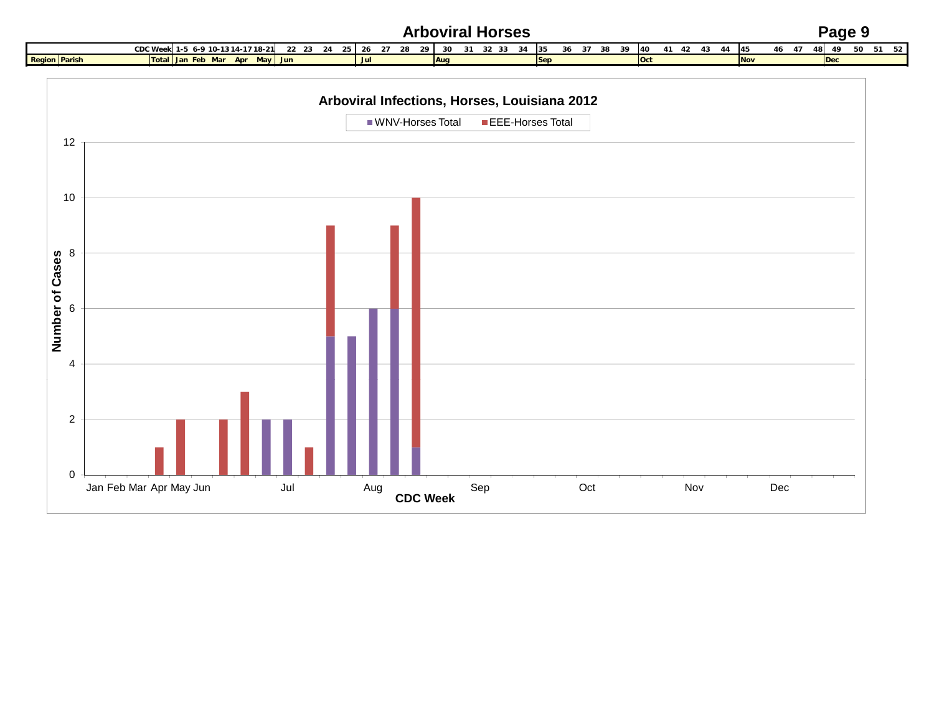